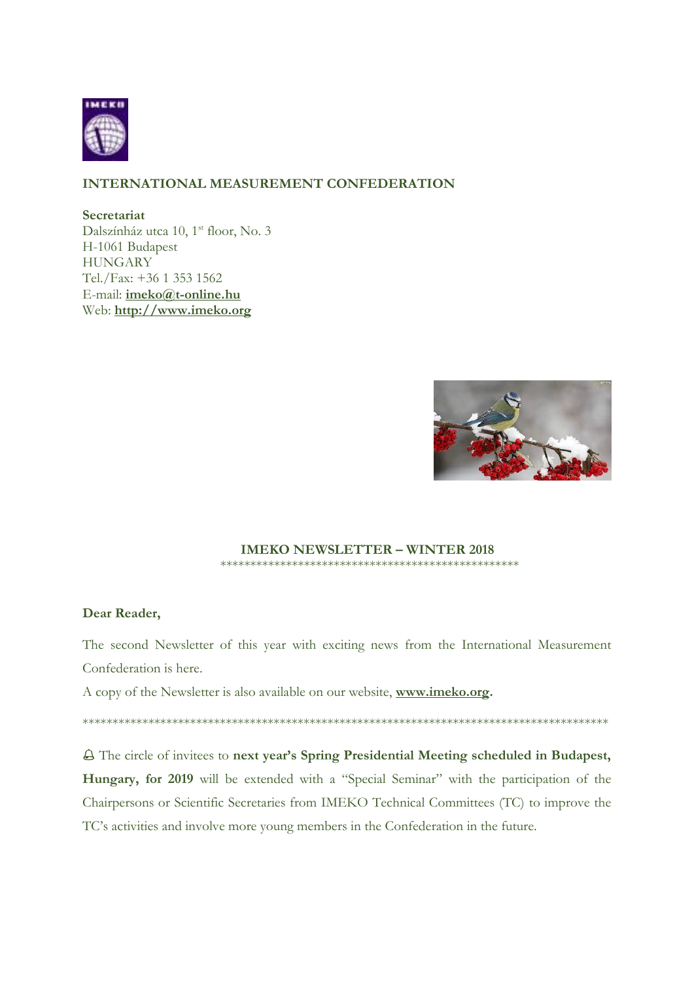

## **INTERNATIONAL MEASUREMENT CONFEDERATION**

**Secretariat** Dalszínház utca 10, 1<sup>st</sup> floor, No. 3 H-1061 Budapest **HUNGARY** Tel./Fax: +36 1 353 1562 E-mail: **[imeko@t-online.hu](mailto:imeko@t-online.hu)** Web: **[http://www.imeko.org](http://www.imeko.org/)**



#### **IMEKO NEWSLETTER – WINTER 2018** \*\*\*\*\*\*\*\*\*\*\*\*\*\*\*\*\*\*\*\*\*\*\*\*\*\*\*\*\*\*\*\*\*\*\*\*\*\*\*\*\*\*\*\*\*\*\*\*\*\*

#### **Dear Reader,**

The second Newsletter of this year with exciting news from the International Measurement Confederation is here.

A copy of the Newsletter is also available on our website, **[www.imeko.org.](http://www.imeko.org/)**

\*\*\*\*\*\*\*\*\*\*\*\*\*\*\*\*\*\*\*\*\*\*\*\*\*\*\*\*\*\*\*\*\*\*\*\*\*\*\*\*\*\*\*\*\*\*\*\*\*\*\*\*\*\*\*\*\*\*\*\*\*\*\*\*\*\*\*\*\*\*\*\*\*\*\*\*\*\*\*\*\*\*\*\*\*\*\*\*

 The circle of invitees to **next year's Spring Presidential Meeting scheduled in Budapest, Hungary, for 2019** will be extended with a "Special Seminar" with the participation of the Chairpersons or Scientific Secretaries from IMEKO Technical Committees (TC) to improve the TC's activities and involve more young members in the Confederation in the future.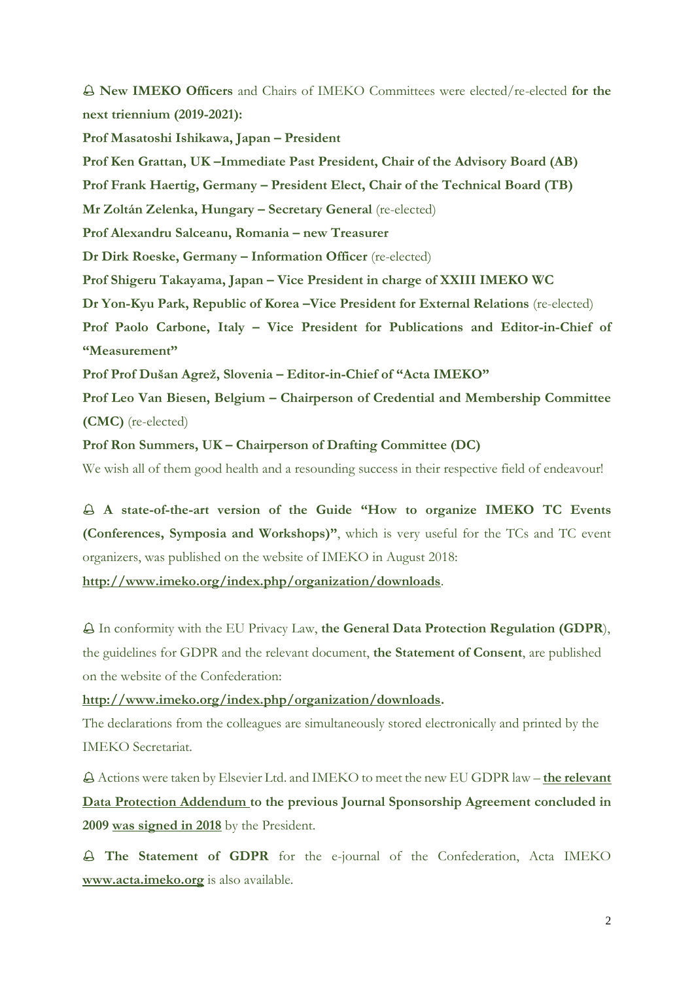**New IMEKO Officers** and Chairs of IMEKO Committees were elected/re-elected **for the next triennium (2019-2021): Prof Masatoshi Ishikawa, Japan – President Prof Ken Grattan, UK –Immediate Past President, Chair of the Advisory Board (AB) Prof Frank Haertig, Germany – President Elect, Chair of the Technical Board (TB) Mr Zoltán Zelenka, Hungary – Secretary General** (re-elected) **Prof Alexandru Salceanu, Romania – new Treasurer Dr Dirk Roeske, Germany – Information Officer** (re-elected) **Prof Shigeru Takayama, Japan – Vice President in charge of XXIII IMEKO WC Dr Yon-Kyu Park, Republic of Korea –Vice President for External Relations** (re-elected) **Prof Paolo Carbone, Italy – Vice President for Publications and Editor-in-Chief of "Measurement" Prof Prof Dušan Agrež, Slovenia – Editor-in-Chief of "Acta IMEKO" Prof Leo Van Biesen, Belgium – Chairperson of Credential and Membership Committee (CMC)** (re-elected)

**Prof Ron Summers, UK – Chairperson of Drafting Committee (DC)**

We wish all of them good health and a resounding success in their respective field of endeavour!

 **A state-of-the-art version of the Guide "How to organize IMEKO TC Events (Conferences, Symposia and Workshops)"**, which is very useful for the TCs and TC event organizers, was published on the website of IMEKO in August 2018:

**<http://www.imeko.org/index.php/organization/downloads>**.

 In conformity with the EU Privacy Law, **the General Data Protection Regulation (GDPR**), the guidelines for GDPR and the relevant document, **the Statement of Consent**, are published on the website of the Confederation:

**[http://www.imeko.org/index.php/organization/downloads.](http://www.imeko.org/index.php/organization/downloads)**

The declarations from the colleagues are simultaneously stored electronically and printed by the IMEKO Secretariat.

 Actions were taken by Elsevier Ltd. and IMEKO to meet the new EU GDPR law – **the relevant Data Protection Addendum to the previous Journal Sponsorship Agreement concluded in 2009 was signed in 2018** by the President.

 **The Statement of GDPR** for the e-journal of the Confederation, Acta IMEKO **[www.acta.imeko.org](http://www.acta.imeko.org/)** is also available.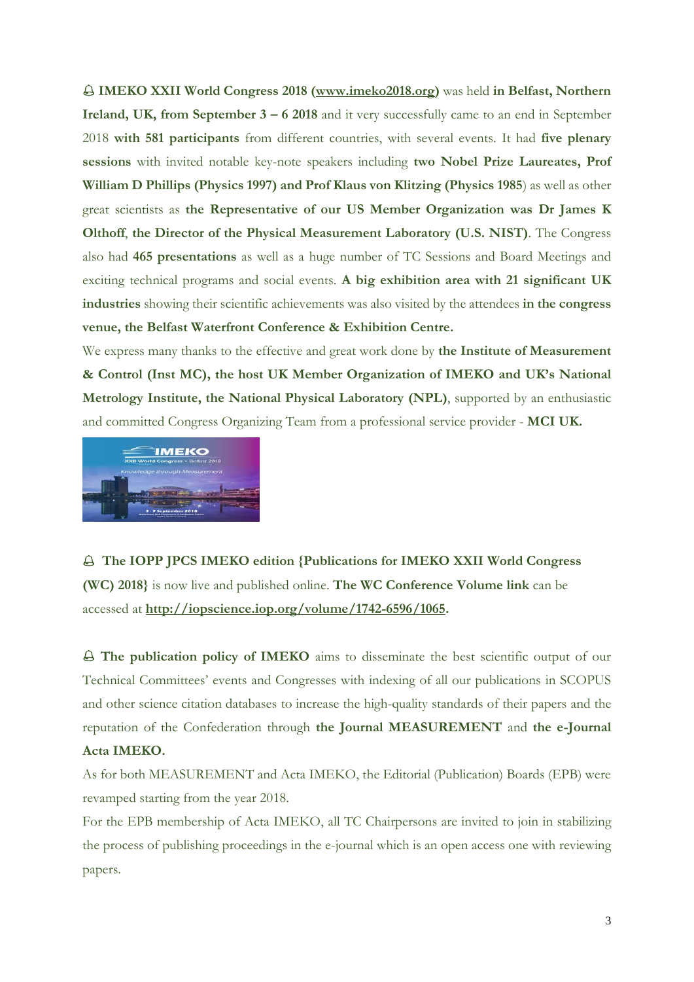**IMEKO XXII World Congress 2018 [\(www.imeko2018.org\)](http://www.imeko2018.org/)** was held **in Belfast, Northern Ireland, UK, from September 3 – 6 2018** and it very successfully came to an end in September 2018 **with 581 participants** from different countries, with several events. It had **five plenary sessions** with invited notable key-note speakers including **two Nobel Prize Laureates, Prof William D Phillips (Physics 1997) and Prof Klaus von Klitzing (Physics 1985**) as well as other great scientists as **the Representative of our US Member Organization was Dr James K Olthoff**, **the Director of the Physical Measurement Laboratory (U.S. NIST)**. The Congress also had **465 presentations** as well as a huge number of TC Sessions and Board Meetings and exciting technical programs and social events. **A big exhibition area with 21 significant UK industries** showing their scientific achievements was also visited by the attendees **in the congress venue, the Belfast Waterfront Conference & Exhibition Centre.**

We express many thanks to the effective and great work done by **the Institute of Measurement & Control (Inst MC), the host UK Member Organization of IMEKO and UK's National Metrology Institute, the National Physical Laboratory (NPL)**, supported by an enthusiastic and committed Congress Organizing Team from a professional service provider - **MCI UK.**



 **The IOPP JPCS IMEKO edition {Publications for IMEKO XXII World Congress (WC) 2018}** is now live and published online. **The WC Conference Volume link** can be accessed at **[http://iopscience.iop.org/volume/1742-6596/1065.](https://emea01.safelinks.protection.outlook.com/?url=http%3A%2F%2Fiopscience.iop.org%2Fvolume%2F1742-6596%2F1065&data=02%7C01%7C%7C6275c03db58547e5dba208d64979e602%7Cac144e41800148f09e1c170716ed06b6%7C0%7C1%7C636777185245164211&sdata=Zsc0R3FHF1VmHjmImiyGbYAye9%2BzRzc8NRnpBhzraqY%3D&reserved=0)**

 **The publication policy of IMEKO** aims to disseminate the best scientific output of our Technical Committees' events and Congresses with indexing of all our publications in SCOPUS and other science citation databases to increase the high-quality standards of their papers and the reputation of the Confederation through **the Journal MEASUREMENT** and **the e-Journal Acta IMEKO.**

As for both MEASUREMENT and Acta IMEKO, the Editorial (Publication) Boards (EPB) were revamped starting from the year 2018.

For the EPB membership of Acta IMEKO, all TC Chairpersons are invited to join in stabilizing the process of publishing proceedings in the e-journal which is an open access one with reviewing papers.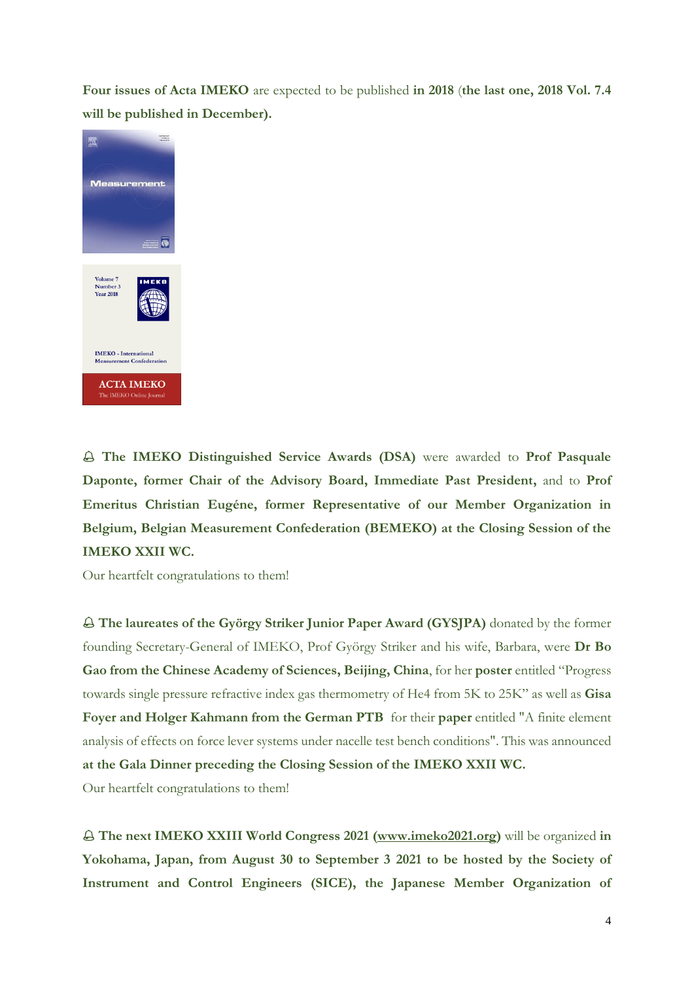**Four issues of Acta IMEKO** are expected to be published **in 2018** (**the last one, 2018 Vol. 7.4 will be published in December).**



 **The IMEKO Distinguished Service Awards (DSA)** were awarded to **Prof Pasquale Daponte, former Chair of the Advisory Board, Immediate Past President,** and to **Prof Emeritus Christian Eugéne, former Representative of our Member Organization in Belgium, Belgian Measurement Confederation (BEMEKO) at the Closing Session of the IMEKO XXII WC.**

Our heartfelt congratulations to them!

 **The laureates of the György Striker Junior Paper Award (GYSJPA)** donated by the former founding Secretary-General of IMEKO, Prof György Striker and his wife, Barbara, were **Dr Bo Gao from the Chinese Academy of Sciences, Beijing, China**, for her **poster** entitled "Progress towards single pressure refractive index gas thermometry of He4 from 5K to 25K" as well as **Gisa Foyer and Holger Kahmann from the German PTB** for their **paper** entitled "A finite element analysis of effects on force lever systems under nacelle test bench conditions". This was announced **at the Gala Dinner preceding the Closing Session of the IMEKO XXII WC.**

Our heartfelt congratulations to them!

 **The next IMEKO XXIII World Congress 2021 [\(www.imeko2021.org\)](http://www.imeko2021.org/)** will be organized **in Yokohama, Japan, from August 30 to September 3 2021 to be hosted by the Society of Instrument and Control Engineers (SICE), the Japanese Member Organization of**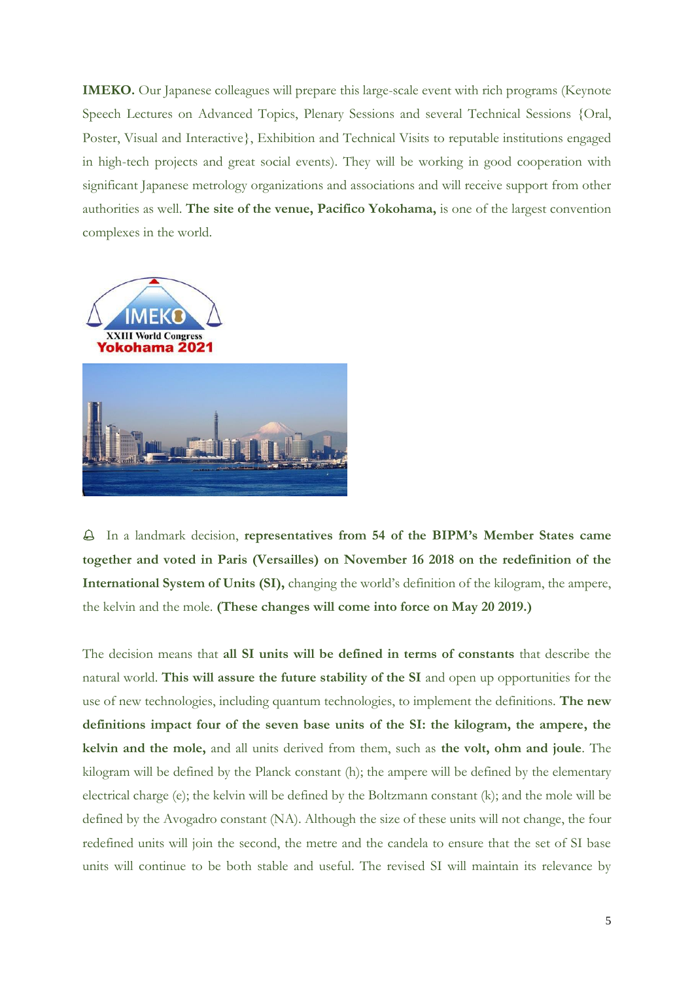**IMEKO.** Our Japanese colleagues will prepare this large-scale event with rich programs (Keynote Speech Lectures on Advanced Topics, Plenary Sessions and several Technical Sessions {Oral, Poster, Visual and Interactive}, Exhibition and Technical Visits to reputable institutions engaged in high-tech projects and great social events). They will be working in good cooperation with significant Japanese metrology organizations and associations and will receive support from other authorities as well. **The site of the venue, Pacifico Yokohama,** is one of the largest convention complexes in the world.



 In a landmark decision, **representatives from 54 of the BIPM's Member States came together and voted in Paris (Versailles) on November 16 2018 on the redefinition of the International System of Units (SI),** changing the world's definition of the kilogram, the ampere, the kelvin and the mole. **(These changes will come into force on May 20 2019.)**

The decision means that **all SI units will be defined in terms of constants** that describe the natural world. **This will assure the future stability of the SI** and open up opportunities for the use of new technologies, including quantum technologies, to implement the definitions. **The new definitions impact four of the seven base units of the SI: the kilogram, the ampere, the kelvin and the mole,** and all units derived from them, such as **the volt, ohm and joule**. The kilogram will be defined by the Planck constant (h); the ampere will be defined by the elementary electrical charge (e); the kelvin will be defined by the Boltzmann constant (k); and the mole will be defined by the Avogadro constant (NA). Although the size of these units will not change, the four redefined units will join the second, the metre and the candela to ensure that the set of SI base units will continue to be both stable and useful. The revised SI will maintain its relevance by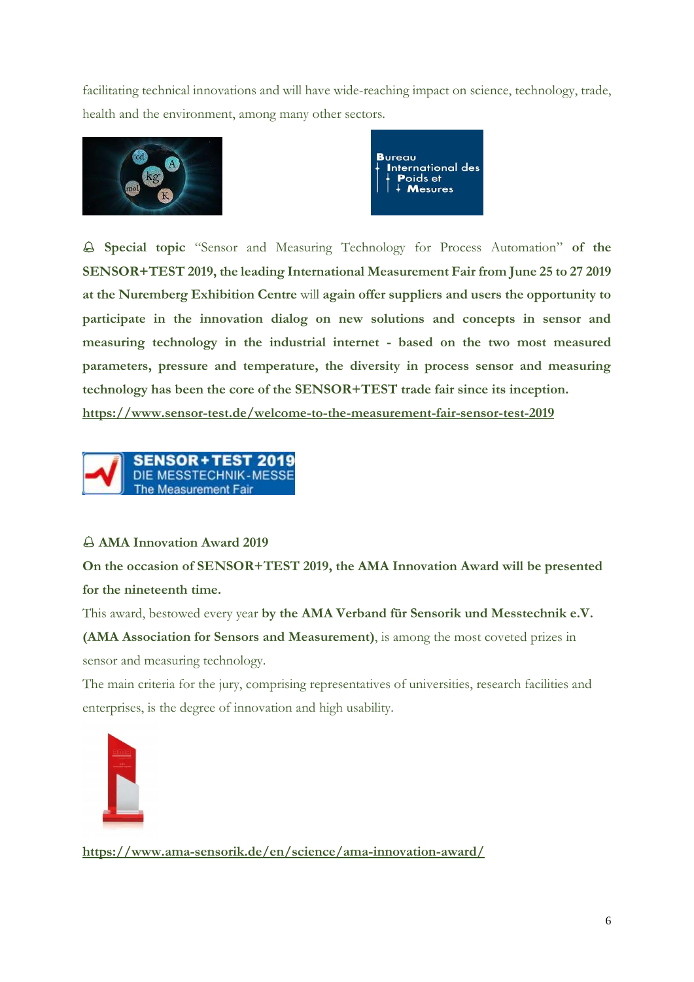facilitating technical innovations and will have wide-reaching impact on science, technology, trade, health and the environment, among many other sectors.





 **Special topic** "Sensor and Measuring Technology for Process Automation" **of the SENSOR+TEST 2019, the leading International Measurement Fair from June 25 to 27 2019 at the Nuremberg Exhibition Centre** will **again offer suppliers and users the opportunity to participate in the innovation dialog on new solutions and concepts in sensor and measuring technology in the industrial internet - based on the two most measured parameters, pressure and temperature, the diversity in process sensor and measuring technology has been the core of the SENSOR+TEST trade fair since its inception. <https://www.sensor-test.de/welcome-to-the-measurement-fair-sensor-test-2019>**



## **AMA Innovation Award 2019**

**On the occasion of SENSOR+TEST 2019, the AMA Innovation Award will be presented for the nineteenth time.**

This award, bestowed every year **by the AMA Verband für Sensorik und Messtechnik e.V.** 

**(AMA Association for Sensors and Measurement)**, is among the most coveted prizes in sensor and measuring technology.

The main criteria for the jury, comprising representatives of universities, research facilities and enterprises, is the degree of innovation and high usability.



**<https://www.ama-sensorik.de/en/science/ama-innovation-award/>**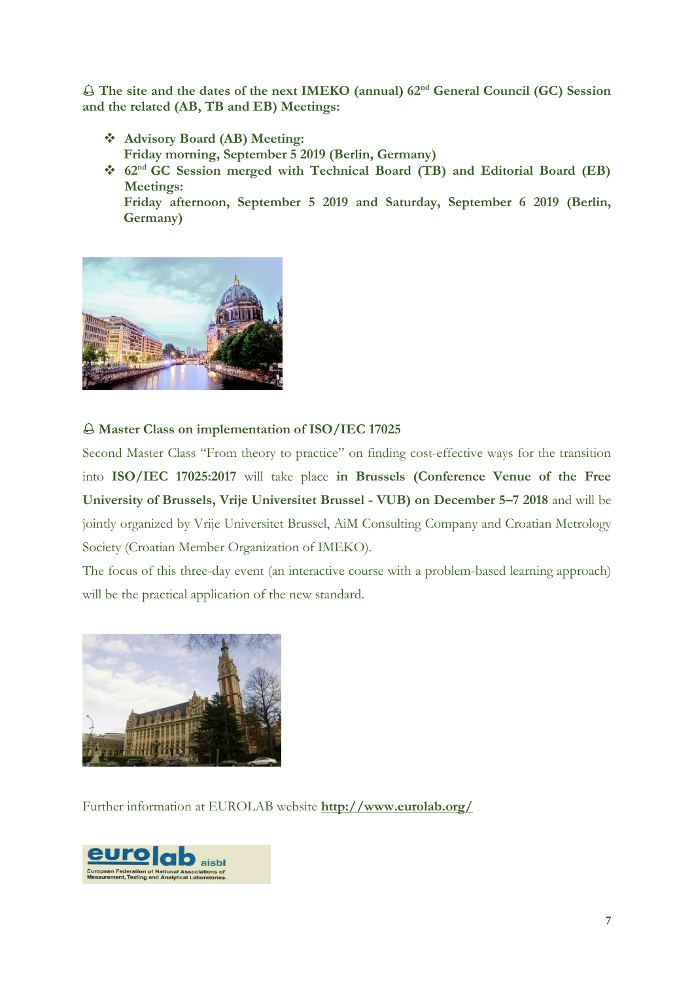$\triangle$  The site and the dates of the next IMEKO (annual) 62<sup>nd</sup> General Council (GC) Session **and the related (AB, TB and EB) Meetings:**

- ❖ **Advisory Board (AB) Meeting: Friday morning, September 5 2019 (Berlin, Germany)**
- ❖ **62nd GC Session merged with Technical Board (TB) and Editorial Board (EB) Meetings:**

**Friday afternoon, September 5 2019 and Saturday, September 6 2019 (Berlin, Germany)** 



# **Master Class on implementation of ISO/IEC 17025**

Second Master Class "From theory to practice" on finding cost-effective ways for the transition into **ISO/IEC 17025:2017** will take place **in Brussels (Conference Venue of the Free University of Brussels, Vrije Universitet Brussel - VUB) on December 5–7 2018** and will be jointly organized by Vrije Universitet Brussel, AiM Consulting Company and Croatian Metrology Society (Croatian Member Organization of IMEKO).

The focus of this three-day event (an interactive course with a problem-based learning approach) will be the practical application of the new standard.



Further information at EUROLAB website **<http://www.eurolab.org/>**